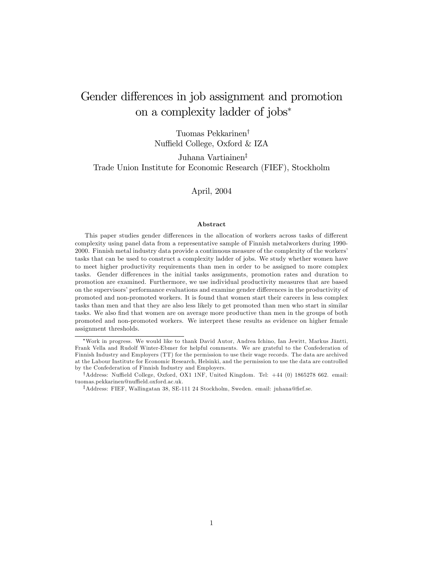# Gender differences in job assignment and promotion on a complexity ladder of jobs

Tuomas Pekkarinen<sup>†</sup> Nuffield College, Oxford & IZA

Juhana Vartiainen<sup>‡</sup>

Trade Union Institute for Economic Research (FIEF), Stockholm

April, 2004

#### Abstract

This paper studies gender differences in the allocation of workers across tasks of different complexity using panel data from a representative sample of Finnish metalworkers during 1990- 2000. Finnish metal industry data provide a continuous measure of the complexity of the workersí tasks that can be used to construct a complexity ladder of jobs. We study whether women have to meet higher productivity requirements than men in order to be assigned to more complex tasks. Gender differences in the initial tasks assignments, promotion rates and duration to promotion are examined. Furthermore, we use individual productivity measures that are based on the supervisors' performance evaluations and examine gender differences in the productivity of promoted and non-promoted workers. It is found that women start their careers in less complex tasks than men and that they are also less likely to get promoted than men who start in similar tasks. We also find that women are on average more productive than men in the groups of both promoted and non-promoted workers. We interpret these results as evidence on higher female assignment thresholds.

Work in progress. We would like to thank David Autor, Andrea Ichino, Ian Jewitt, Markus J‰ntti, Frank Vella and Rudolf Winter-Ebmer for helpful comments. We are grateful to the Confederation of Finnish Industry and Employers (TT) for the permission to use their wage records. The data are archived at the Labour Institute for Economic Research, Helsinki, and the permission to use the data are controlled by the Confederation of Finnish Industry and Employers.

<sup>&</sup>lt;sup>†</sup>Address: Nuffield College, Oxford, OX1 1NF, United Kingdom. Tel:  $+44$  (0) 1865278 662. email: tuomas.pekkarinen@nuffield.oxford.ac.uk.

<sup>&</sup>lt;sup>‡</sup>Address: FIEF, Wallingatan 38, SE-111 24 Stockholm, Sweden. email: juhana@fief.se.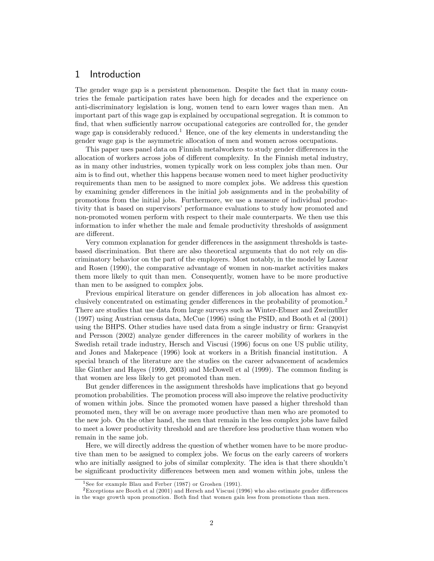### 1 Introduction

The gender wage gap is a persistent phenomenon. Despite the fact that in many countries the female participation rates have been high for decades and the experience on anti-discriminatory legislation is long, women tend to earn lower wages than men. An important part of this wage gap is explained by occupational segregation. It is common to find, that when sufficiently narrow occupational categories are controlled for, the gender wage gap is considerably reduced.<sup>1</sup> Hence, one of the key elements in understanding the gender wage gap is the asymmetric allocation of men and women across occupations.

This paper uses panel data on Finnish metalworkers to study gender differences in the allocation of workers across jobs of different complexity. In the Finnish metal industry, as in many other industries, women typically work on less complex jobs than men. Our aim is to find out, whether this happens because women need to meet higher productivity requirements than men to be assigned to more complex jobs. We address this question by examining gender differences in the initial job assignments and in the probability of promotions from the initial jobs. Furthermore, we use a measure of individual productivity that is based on supervisors' performance evaluations to study how promoted and non-promoted women perform with respect to their male counterparts. We then use this information to infer whether the male and female productivity thresholds of assignment are different.

Very common explanation for gender differences in the assignment thresholds is tastebased discrimination. But there are also theoretical arguments that do not rely on discriminatory behavior on the part of the employers. Most notably, in the model by Lazear and Rosen (1990), the comparative advantage of women in non-market activities makes them more likely to quit than men. Consequently, women have to be more productive than men to be assigned to complex jobs.

Previous empirical literature on gender differences in job allocation has almost exclusively concentrated on estimating gender differences in the probability of promotion.<sup>2</sup> There are studies that use data from large surveys such as Winter-Ebmer and Zweimüller (1997) using Austrian census data, McCue (1996) using the PSID, and Booth et al (2001) using the BHPS. Other studies have used data from a single industry or firm: Granqvist and Persson (2002) analyze gender differences in the career mobility of workers in the Swedish retail trade industry, Hersch and Viscusi (1996) focus on one US public utility, and Jones and Makepeace (1996) look at workers in a British Önancial institution. A special branch of the literature are the studies on the career advancement of academics like Ginther and Hayes (1999, 2003) and McDowell et al (1999). The common finding is that women are less likely to get promoted than men.

But gender differences in the assignment thresholds have implications that go beyond promotion probabilities. The promotion process will also improve the relative productivity of women within jobs. Since the promoted women have passed a higher threshold than promoted men, they will be on average more productive than men who are promoted to the new job. On the other hand, the men that remain in the less complex jobs have failed to meet a lower productivity threshold and are therefore less productive than women who remain in the same job.

Here, we will directly address the question of whether women have to be more productive than men to be assigned to complex jobs. We focus on the early careers of workers who are initially assigned to jobs of similar complexity. The idea is that there shouldn't be significant productivity differences between men and women within jobs, unless the

<sup>1</sup>See for example Blau and Ferber (1987) or Groshen (1991).

 $2E$ xceptions are Booth et al (2001) and Hersch and Viscusi (1996) who also estimate gender differences in the wage growth upon promotion. Both find that women gain less from promotions than men.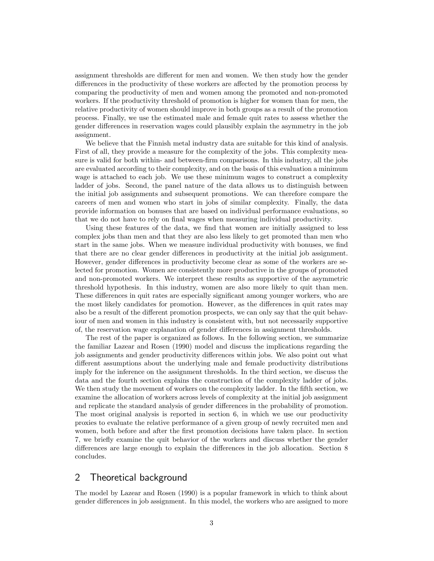assignment thresholds are different for men and women. We then study how the gender differences in the productivity of these workers are affected by the promotion process by comparing the productivity of men and women among the promoted and non-promoted workers. If the productivity threshold of promotion is higher for women than for men, the relative productivity of women should improve in both groups as a result of the promotion process. Finally, we use the estimated male and female quit rates to assess whether the gender differences in reservation wages could plausibly explain the asymmetry in the job assignment.

We believe that the Finnish metal industry data are suitable for this kind of analysis. First of all, they provide a measure for the complexity of the jobs. This complexity measure is valid for both within- and between-Örm comparisons. In this industry, all the jobs are evaluated according to their complexity, and on the basis of this evaluation a minimum wage is attached to each job. We use these minimum wages to construct a complexity ladder of jobs. Second, the panel nature of the data allows us to distinguish between the initial job assignments and subsequent promotions. We can therefore compare the careers of men and women who start in jobs of similar complexity. Finally, the data provide information on bonuses that are based on individual performance evaluations, so that we do not have to rely on final wages when measuring individual productivity.

Using these features of the data, we find that women are initially assigned to less complex jobs than men and that they are also less likely to get promoted than men who start in the same jobs. When we measure individual productivity with bonuses, we find that there are no clear gender differences in productivity at the initial job assignment. However, gender differences in productivity become clear as some of the workers are selected for promotion. Women are consistently more productive in the groups of promoted and non-promoted workers. We interpret these results as supportive of the asymmetric threshold hypothesis. In this industry, women are also more likely to quit than men. These differences in quit rates are especially significant among younger workers, who are the most likely candidates for promotion. However, as the differences in quit rates may also be a result of the different promotion prospects, we can only say that the quit behaviour of men and women in this industry is consistent with, but not necessarily supportive of, the reservation wage explanation of gender differences in assignment thresholds.

The rest of the paper is organized as follows. In the following section, we summarize the familiar Lazear and Rosen (1990) model and discuss the implications regarding the job assignments and gender productivity differences within jobs. We also point out what different assumptions about the underlying male and female productivity distributions imply for the inference on the assignment thresholds. In the third section, we discuss the data and the fourth section explains the construction of the complexity ladder of jobs. We then study the movement of workers on the complexity ladder. In the fifth section, we examine the allocation of workers across levels of complexity at the initial job assignment and replicate the standard analysis of gender differences in the probability of promotion. The most original analysis is reported in section 6, in which we use our productivity proxies to evaluate the relative performance of a given group of newly recruited men and women, both before and after the first promotion decisions have taken place. In section 7, we brieáy examine the quit behavior of the workers and discuss whether the gender differences are large enough to explain the differences in the job allocation. Section 8 concludes.

### 2 Theoretical background

The model by Lazear and Rosen (1990) is a popular framework in which to think about gender differences in job assignment. In this model, the workers who are assigned to more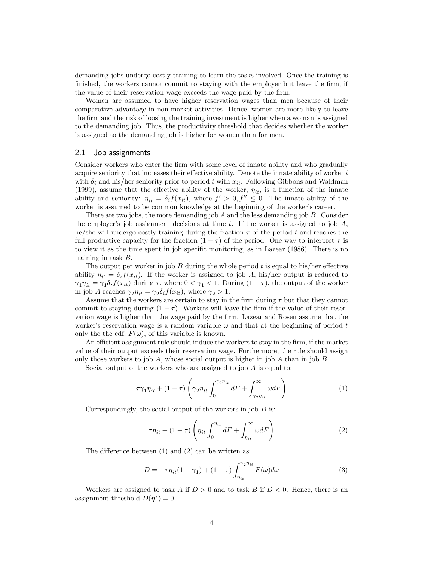demanding jobs undergo costly training to learn the tasks involved. Once the training is finished, the workers cannot commit to staying with the employer but leave the firm, if the value of their reservation wage exceeds the wage paid by the firm.

Women are assumed to have higher reservation wages than men because of their comparative advantage in non-market activities. Hence, women are more likely to leave the firm and the risk of loosing the training investment is higher when a woman is assigned to the demanding job. Thus, the productivity threshold that decides whether the worker is assigned to the demanding job is higher for women than for men.

#### 2.1 Job assignments

Consider workers who enter the firm with some level of innate ability and who gradually acquire seniority that increases their effective ability. Denote the innate ability of worker  $i$ with  $\delta_i$  and his/her seniority prior to period t with  $x_{it}$ . Following Gibbons and Waldman (1999), assume that the effective ability of the worker,  $\eta_{it}$ , is a function of the innate ability and seniority:  $\eta_{it} = \delta_i f(x_{it})$ , where  $f' > 0$ ,  $f'' \leq 0$ . The innate ability of the worker is assumed to be common knowledge at the beginning of the worker's career.

There are two jobs, the more demanding job  $A$  and the less demanding job  $B$ . Consider the employer's job assignment decisions at time t. If the worker is assigned to job  $A$ , he/she will undergo costly training during the fraction  $\tau$  of the period t and reaches the full productive capacity for the fraction  $(1 - \tau)$  of the period. One way to interpret  $\tau$  is to view it as the time spent in job specific monitoring, as in Lazear  $(1986)$ . There is no training in task B:

The output per worker in job  $B$  during the whole period  $t$  is equal to his/her effective ability  $\eta_{it} = \delta_i f(x_{it})$ . If the worker is assigned to job A, his/her output is reduced to  $\gamma_1 \eta_{it} = \gamma_1 \delta_i f(x_{it})$  during  $\tau$ , where  $0 < \gamma_1 < 1$ . During  $(1 - \tau)$ , the output of the worker in job A reaches  $\gamma_2 \eta_{it} = \gamma_2 \delta_i f(x_{it})$ , where  $\gamma_2 > 1$ .

Assume that the workers are certain to stay in the firm during  $\tau$  but that they cannot commit to staying during  $(1 - \tau)$ . Workers will leave the firm if the value of their reservation wage is higher than the wage paid by the firm. Lazear and Rosen assume that the worker's reservation wage is a random variable  $\omega$  and that at the beginning of period t only the the cdf,  $F(\omega)$ , of this variable is known.

An efficient assignment rule should induce the workers to stay in the firm, if the market value of their output exceeds their reservation wage. Furthermore, the rule should assign only those workers to job  $A$ , whose social output is higher in job  $A$  than in job  $B$ .

Social output of the workers who are assigned to job A is equal to:

$$
\tau \gamma_1 \eta_{it} + (1 - \tau) \left( \gamma_2 \eta_{it} \int_0^{\gamma_2 \eta_{it}} dF + \int_{\gamma_2 \eta_{it}}^{\infty} \omega dF \right)
$$
 (1)

Correspondingly, the social output of the workers in job  $B$  is:

$$
\tau \eta_{it} + (1 - \tau) \left( \eta_{it} \int_0^{\eta_{it}} dF + \int_{\eta_{it}}^{\infty} \omega dF \right)
$$
 (2)

The difference between  $(1)$  and  $(2)$  can be written as:

$$
D = -\tau \eta_{it} (1 - \gamma_1) + (1 - \tau) \int_{\eta_{it}}^{\gamma_2 \eta_{it}} F(\omega) d\omega \tag{3}
$$

Workers are assigned to task A if  $D > 0$  and to task B if  $D < 0$ . Hence, there is an assignment threshold  $D(\eta^*)=0$ .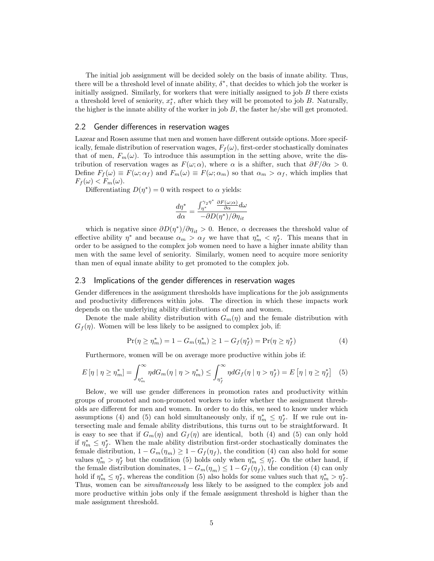The initial job assignment will be decided solely on the basis of innate ability. Thus, there will be a threshold level of innate ability,  $\delta^*$ , that decides to which job the worker is initially assigned. Similarly, for workers that were initially assigned to job  $B$  there exists a threshold level of seniority,  $x_t^*$ , after which they will be promoted to job B. Naturally, the higher is the innate ability of the worker in job  $B$ , the faster he/she will get promoted.

#### 2.2 Gender differences in reservation wages

Lazear and Rosen assume that men and women have different outside options. More specifically, female distribution of reservation wages,  $F_f(\omega)$ , first-order stochastically dominates that of men,  $F_m(\omega)$ . To introduce this assumption in the setting above, write the distribution of reservation wages as  $F(\omega; \alpha)$ , where  $\alpha$  is a shifter, such that  $\partial F/\partial \alpha > 0$ . Define  $F_f(\omega) \equiv F(\omega; \alpha_f)$  and  $F_m(\omega) \equiv F(\omega; \alpha_m)$  so that  $\alpha_m > \alpha_f$ , which implies that  $F_f(\omega) < F_m(\omega)$ .

Differentiating  $D(\eta^*) = 0$  with respect to  $\alpha$  yields:

$$
\frac{d\eta^*}{d\alpha} = \frac{\int_{\eta^*}^{\gamma_2 \eta^*} \frac{\partial F(\omega; \alpha)}{\partial \alpha} d\omega}{-\partial D(\eta^*)/\partial \eta_{it}}
$$

which is negative since  $\partial D(\eta^*)/\partial \eta_{it} > 0$ . Hence,  $\alpha$  decreases the threshold value of effective ability  $\eta^*$  and because  $\alpha_m > \alpha_f$  we have that  $\eta_m^* < \eta_f^*$ . This means that in order to be assigned to the complex job women need to have a higher innate ability than men with the same level of seniority. Similarly, women need to acquire more seniority than men of equal innate ability to get promoted to the complex job.

#### 2.3 Implications of the gender differences in reservation wages

Gender differences in the assignment thresholds have implications for the job assignments and productivity differences within jobs. The direction in which these impacts work depends on the underlying ability distributions of men and women.

Denote the male ability distribution with  $G_m(\eta)$  and the female distribution with  $G_f(\eta)$ . Women will be less likely to be assigned to complex job, if:

$$
\Pr(\eta \ge \eta_m^*) = 1 - G_m(\eta_m^*) \ge 1 - G_f(\eta_f^*) = \Pr(\eta \ge \eta_f^*) \tag{4}
$$

Furthermore, women will be on average more productive within jobs if:

$$
E\left[\eta \mid \eta \geq \eta_{m}^{*}\right] = \int_{\eta_{m}^{*}}^{\infty} \eta dG_{m}(\eta \mid \eta > \eta_{m}^{*}) \leq \int_{\eta_{f}^{*}}^{\infty} \eta dG_{f}(\eta \mid \eta > \eta_{f}^{*}) = E\left[\eta \mid \eta \geq \eta_{f}^{*}\right] \tag{5}
$$

Below, we will use gender differences in promotion rates and productivity within groups of promoted and non-promoted workers to infer whether the assignment thresholds are different for men and women. In order to do this, we need to know under which assumptions (4) and (5) can hold simultaneously only, if  $\eta_m^* \leq \eta_f^*$ . If we rule out intersecting male and female ability distributions, this turns out to be straightforward. It is easy to see that if  $G_m(\eta)$  and  $G_f(\eta)$  are identical, both (4) and (5) can only hold if  $\eta_m^* \leq \eta_f^*$ . When the male ability distribution first-order stochastically dominates the female distribution,  $1 - G_m(\eta_m) \ge 1 - G_f(\eta_f)$ , the condition (4) can also hold for some values  $\eta_m^* > \eta_f^*$  but the condition (5) holds only when  $\eta_m^* \leq \eta_f^*$ . On the other hand, if the female distribution dominates,  $1 - G_m(\eta_m) \leq 1 - G_f(\eta_f)$ , the condition (4) can only hold if  $\eta_m^* \leq \eta_f^*$ , whereas the condition (5) also holds for some values such that  $\eta_m^* > \eta_f^*$ . Thus, women can be simultaneously less likely to be assigned to the complex job and more productive within jobs only if the female assignment threshold is higher than the male assignment threshold.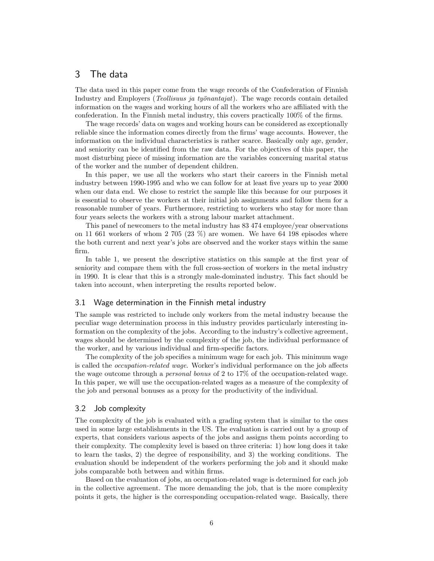## 3 The data

The data used in this paper come from the wage records of the Confederation of Finnish Industry and Employers (*Teollisuus ja työnantajat*). The wage records contain detailed information on the wages and working hours of all the workers who are affiliated with the confederation. In the Finnish metal industry, this covers practically  $100\%$  of the firms.

The wage records' data on wages and working hours can be considered as exceptionally reliable since the information comes directly from the firms' wage accounts. However, the information on the individual characteristics is rather scarce. Basically only age, gender, and seniority can be identified from the raw data. For the objectives of this paper, the most disturbing piece of missing information are the variables concerning marital status of the worker and the number of dependent children.

In this paper, we use all the workers who start their careers in the Finnish metal industry between 1990-1995 and who we can follow for at least five years up to year 2000 when our data end. We chose to restrict the sample like this because for our purposes it is essential to observe the workers at their initial job assignments and follow them for a reasonable number of years. Furthermore, restricting to workers who stay for more than four years selects the workers with a strong labour market attachment.

This panel of newcomers to the metal industry has 83 474 employee/year observations on 11 661 workers of whom 2 705  $(23\%)$  are women. We have 64 198 episodes where the both current and next year's jobs are observed and the worker stays within the same Örm.

In table 1, we present the descriptive statistics on this sample at the first year of seniority and compare them with the full cross-section of workers in the metal industry in 1990. It is clear that this is a strongly male-dominated industry. This fact should be taken into account, when interpreting the results reported below.

#### 3.1 Wage determination in the Finnish metal industry

The sample was restricted to include only workers from the metal industry because the peculiar wage determination process in this industry provides particularly interesting information on the complexity of the jobs. According to the industry's collective agreement, wages should be determined by the complexity of the job, the individual performance of the worker, and by various individual and firm-specific factors.

The complexity of the job specifies a minimum wage for each job. This minimum wage is called the *occupation-related wage*. Worker's individual performance on the job affects the wage outcome through a personal bonus of 2 to 17% of the occupation-related wage. In this paper, we will use the occupation-related wages as a measure of the complexity of the job and personal bonuses as a proxy for the productivity of the individual.

#### 3.2 Job complexity

The complexity of the job is evaluated with a grading system that is similar to the ones used in some large establishments in the US. The evaluation is carried out by a group of experts, that considers various aspects of the jobs and assigns them points according to their complexity. The complexity level is based on three criteria: 1) how long does it take to learn the tasks, 2) the degree of responsibility, and 3) the working conditions. The evaluation should be independent of the workers performing the job and it should make jobs comparable both between and within firms.

Based on the evaluation of jobs, an occupation-related wage is determined for each job in the collective agreement. The more demanding the job, that is the more complexity points it gets, the higher is the corresponding occupation-related wage. Basically, there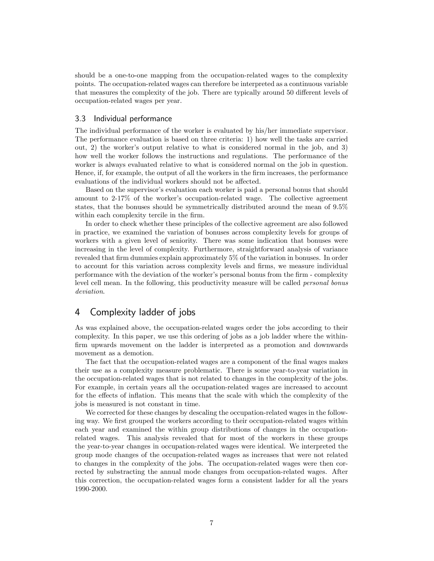should be a one-to-one mapping from the occupation-related wages to the complexity points. The occupation-related wages can therefore be interpreted as a continuous variable that measures the complexity of the job. There are typically around 50 different levels of occupation-related wages per year.

#### 3.3 Individual performance

The individual performance of the worker is evaluated by his/her immediate supervisor. The performance evaluation is based on three criteria: 1) how well the tasks are carried out, 2) the worker's output relative to what is considered normal in the job, and 3) how well the worker follows the instructions and regulations. The performance of the worker is always evaluated relative to what is considered normal on the job in question. Hence, if, for example, the output of all the workers in the firm increases, the performance evaluations of the individual workers should not be affected.

Based on the supervisor's evaluation each worker is paid a personal bonus that should amount to 2-17% of the worker's occupation-related wage. The collective agreement states, that the bonuses should be symmetrically distributed around the mean of 9.5% within each complexity tercile in the firm.

In order to check whether these principles of the collective agreement are also followed in practice, we examined the variation of bonuses across complexity levels for groups of workers with a given level of seniority. There was some indication that bonuses were increasing in the level of complexity. Furthermore, straightforward analysis of variance revealed that firm dummies explain approximately 5% of the variation in bonuses. In order to account for this variation across complexity levels and firms, we measure individual performance with the deviation of the worker's personal bonus from the firm - complexity level cell mean. In the following, this productivity measure will be called *personal bonus* deviation.

## 4 Complexity ladder of jobs

As was explained above, the occupation-related wages order the jobs according to their complexity. In this paper, we use this ordering of jobs as a job ladder where the withinfirm upwards movement on the ladder is interpreted as a promotion and downwards movement as a demotion.

The fact that the occupation-related wages are a component of the final wages makes their use as a complexity measure problematic. There is some year-to-year variation in the occupation-related wages that is not related to changes in the complexity of the jobs. For example, in certain years all the occupation-related wages are increased to account for the effects of inflation. This means that the scale with which the complexity of the jobs is measured is not constant in time.

We corrected for these changes by descaling the occupation-related wages in the following way. We first grouped the workers according to their occupation-related wages within each year and examined the within group distributions of changes in the occupationrelated wages. This analysis revealed that for most of the workers in these groups the year-to-year changes in occupation-related wages were identical. We interpreted the group mode changes of the occupation-related wages as increases that were not related to changes in the complexity of the jobs. The occupation-related wages were then corrected by substracting the annual mode changes from occupation-related wages. After this correction, the occupation-related wages form a consistent ladder for all the years 1990-2000.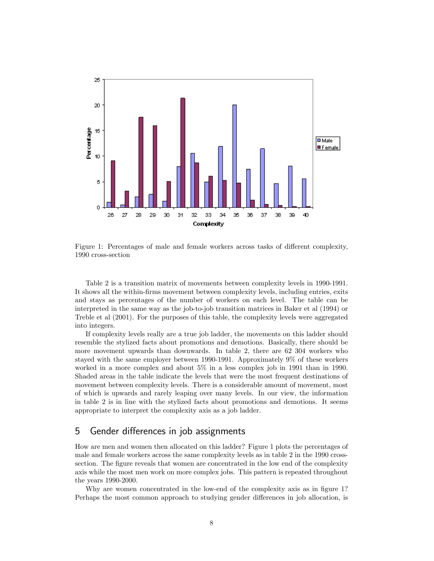

Figure 1: Percentages of male and female workers across tasks of different complexity, 1990 cross-section

Table 2 is a transition matrix of movements between complexity levels in 1990-1991. It shows all the within-firms movement between complexity levels, including entries, exits and stays as percentages of the number of workers on each level. The table can be interpreted in the same way as the job-to-job transition matrices in Baker et al (1994) or Treble et al (2001). For the purposes of this table, the complexity levels were aggregated into integers.

If complexity levels really are a true job ladder, the movements on this ladder should resemble the stylized facts about promotions and demotions. Basically, there should be more movement upwards than downwards. In table 2, there are 62 304 workers who stayed with the same employer between 1990-1991. Approximately 9% of these workers worked in a more complex and about 5% in a less complex job in 1991 than in 1990. Shaded areas in the table indicate the levels that were the most frequent destinations of movement between complexity levels. There is a considerable amount of movement, most of which is upwards and rarely leaping over many levels. In our view, the information in table 2 is in line with the stylized facts about promotions and demotions. It seems appropriate to interpret the complexity axis as a job ladder.

# 5 Gender differences in job assignments

How are men and women then allocated on this ladder? Figure 1 plots the percentages of male and female workers across the same complexity levels as in table 2 in the 1990 crosssection. The figure reveals that women are concentrated in the low end of the complexity axis while the most men work on more complex jobs. This pattern is repeated throughout the years 1990-2000.

Why are women concentrated in the low-end of the complexity axis as in figure 1? Perhaps the most common approach to studying gender differences in job allocation, is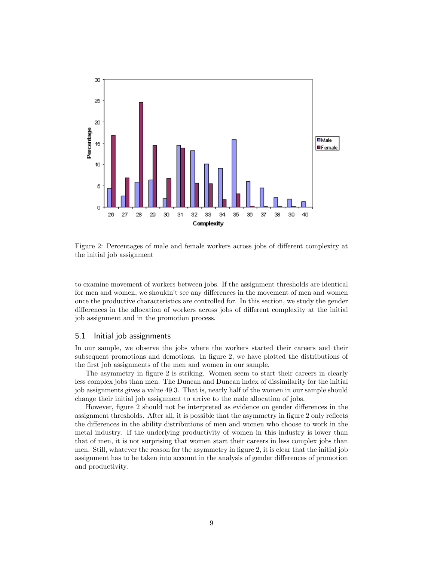

Figure 2: Percentages of male and female workers across jobs of different complexity at the initial job assignment

to examine movement of workers between jobs. If the assignment thresholds are identical for men and women, we shouldn't see any differences in the movement of men and women once the productive characteristics are controlled for. In this section, we study the gender differences in the allocation of workers across jobs of different complexity at the initial job assignment and in the promotion process.

#### 5.1 Initial job assignments

In our sample, we observe the jobs where the workers started their careers and their subsequent promotions and demotions. In figure 2, we have plotted the distributions of the first job assignments of the men and women in our sample.

The asymmetry in figure 2 is striking. Women seem to start their careers in clearly less complex jobs than men. The Duncan and Duncan index of dissimilarity for the initial job assignments gives a value 49:3. That is, nearly half of the women in our sample should change their initial job assignment to arrive to the male allocation of jobs.

However, figure 2 should not be interpreted as evidence on gender differences in the assignment thresholds. After all, it is possible that the asymmetry in figure 2 only reflects the differences in the ability distributions of men and women who choose to work in the metal industry. If the underlying productivity of women in this industry is lower than that of men, it is not surprising that women start their careers in less complex jobs than men. Still, whatever the reason for the asymmetry in figure 2, it is clear that the initial job assignment has to be taken into account in the analysis of gender differences of promotion and productivity.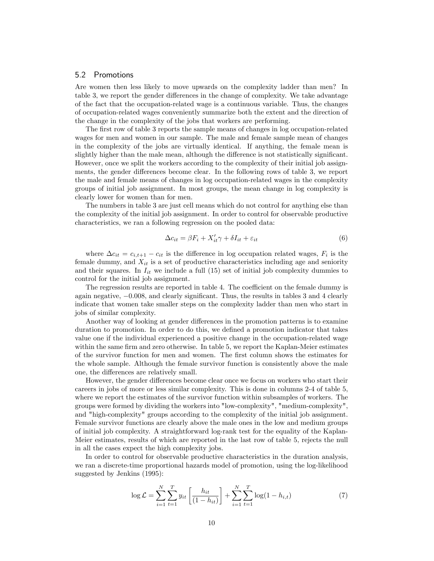#### 5.2 Promotions

Are women then less likely to move upwards on the complexity ladder than men? In table 3, we report the gender differences in the change of complexity. We take advantage of the fact that the occupation-related wage is a continuous variable. Thus, the changes of occupation-related wages conveniently summarize both the extent and the direction of the change in the complexity of the jobs that workers are performing.

The first row of table 3 reports the sample means of changes in log occupation-related wages for men and women in our sample. The male and female sample mean of changes in the complexity of the jobs are virtually identical. If anything, the female mean is slightly higher than the male mean, although the difference is not statistically significant. However, once we split the workers according to the complexity of their initial job assignments, the gender differences become clear. In the following rows of table 3, we report the male and female means of changes in log occupation-related wages in the complexity groups of initial job assignment. In most groups, the mean change in log complexity is clearly lower for women than for men.

The numbers in table 3 are just cell means which do not control for anything else than the complexity of the initial job assignment. In order to control for observable productive characteristics, we ran a following regression on the pooled data:

$$
\Delta c_{it} = \beta F_i + X_{it}' \gamma + \delta I_{it} + \varepsilon_{it} \tag{6}
$$

where  $\Delta c_{it} = c_{i,t+1} - c_{it}$  is the difference in log occupation related wages,  $F_i$  is the female dummy, and  $X_{it}$  is a set of productive characteristics including age and seniority and their squares. In  $I_{it}$  we include a full (15) set of initial job complexity dummies to control for the initial job assignment.

The regression results are reported in table 4. The coefficient on the female dummy is again negative,  $-0.008$ , and clearly significant. Thus, the results in tables 3 and 4 clearly indicate that women take smaller steps on the complexity ladder than men who start in jobs of similar complexity.

Another way of looking at gender differences in the promotion patterns is to examine duration to promotion. In order to do this, we defined a promotion indicator that takes value one if the individual experienced a positive change in the occupation-related wage within the same firm and zero otherwise. In table 5, we report the Kaplan-Meier estimates of the survivor function for men and women. The first column shows the estimates for the whole sample. Although the female survivor function is consistently above the male one, the differences are relatively small.

However, the gender differences become clear once we focus on workers who start their careers in jobs of more or less similar complexity. This is done in columns 2-4 of table 5, where we report the estimates of the survivor function within subsamples of workers. The groups were formed by dividing the workers into "low-complexity", "medium-complexity", and "high-complexity" groups according to the complexity of the initial job assignment. Female survivor functions are clearly above the male ones in the low and medium groups of initial job complexity. A straightforward log-rank test for the equality of the Kaplan-Meier estimates, results of which are reported in the last row of table 5, rejects the null in all the cases expect the high complexity jobs.

In order to control for observable productive characteristics in the duration analysis, we ran a discrete-time proportional hazards model of promotion, using the log-likelihood suggested by Jenkins (1995):

$$
\log \mathcal{L} = \sum_{i=1}^{N} \sum_{t=1}^{T} y_{it} \left[ \frac{h_{it}}{(1 - h_{it})} \right] + \sum_{i=1}^{N} \sum_{t=1}^{T} \log(1 - h_{i,t}) \tag{7}
$$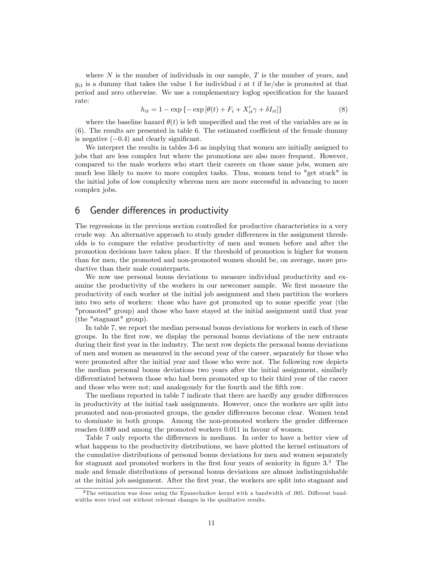where  $N$  is the number of individuals in our sample,  $T$  is the number of years, and  $y_{it}$  is a dummy that takes the value 1 for individual i at t if he/she is promoted at that period and zero otherwise. We use a complementary loglog specification for the hazard rate:

$$
h_{it} = 1 - \exp\left\{-\exp\left[\theta(t) + F_i + X'_{it}\gamma + \delta I_{it}\right]\right\}
$$
\n
$$
(8)
$$

where the baseline hazard  $\theta(t)$  is left unspecified and the rest of the variables are as in  $(6)$ . The results are presented in table 6. The estimated coefficient of the female dummy is negative  $(-0.4)$  and clearly significant.

We interpret the results in tables 3-6 as implying that women are initially assigned to jobs that are less complex but where the promotions are also more frequent. However, compared to the male workers who start their careers on those same jobs, women are much less likely to move to more complex tasks. Thus, women tend to "get stuck" in the initial jobs of low complexity whereas men are more successful in advancing to more complex jobs.

### 6 Gender differences in productivity

The regressions in the previous section controlled for productive characteristics in a very crude way. An alternative approach to study gender differences in the assignment thresholds is to compare the relative productivity of men and women before and after the promotion decisions have taken place. If the threshold of promotion is higher for women than for men, the promoted and non-promoted women should be, on average, more productive than their male counterparts.

We now use personal bonus deviations to measure individual productivity and examine the productivity of the workers in our newcomer sample. We first measure the productivity of each worker at the initial job assignment and then partition the workers into two sets of workers: those who have got promoted up to some specific year (the "promoted" group) and those who have stayed at the initial assignment until that year (the "stagnant" group).

In table 7, we report the median personal bonus deviations for workers in each of these groups. In the Örst row, we display the personal bonus deviations of the new entrants during their first year in the industry. The next row depicts the personal bonus deviations of men and women as measured in the second year of the career, separately for those who were promoted after the initial year and those who were not. The following row depicts the median personal bonus deviations two years after the initial assignment, similarly differentiated between those who had been promoted up to their third year of the career and those who were not; and analogously for the fourth and the fifth row.

The medians reported in table 7 indicate that there are hardly any gender differences in productivity at the initial task assignments. However, once the workers are split into promoted and non-promoted groups, the gender differences become clear. Women tend to dominate in both groups. Among the non-promoted workers the gender difference reaches 0.009 and among the promoted workers 0.011 in favour of women.

Table 7 only reports the differences in medians. In order to have a better view of what happens to the productivity distributions, we have plotted the kernel estimators of the cumulative distributions of personal bonus deviations for men and women separately for stagnant and promoted workers in the first four years of seniority in figure  $3.\overline{3}$ . The male and female distributions of personal bonus deviations are almost indistinguishable at the initial job assignment. After the first year, the workers are split into stagnant and

 $3$ The estimation was done using the Epanechnikov kernel with a bandwidth of .005. Different bandwidths were tried out without relevant changes in the qualitative results.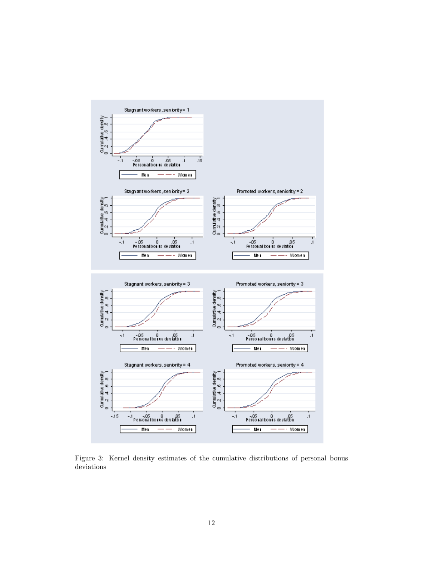

Figure 3: Kernel density estimates of the cumulative distributions of personal bonus deviations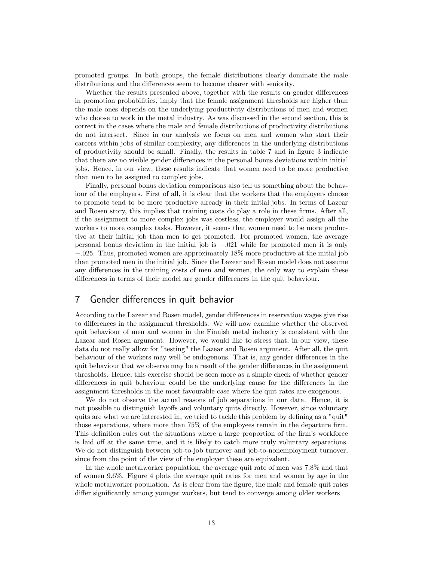promoted groups. In both groups, the female distributions clearly dominate the male distributions and the differences seem to become clearer with seniority.

Whether the results presented above, together with the results on gender differences in promotion probabilities, imply that the female assignment thresholds are higher than the male ones depends on the underlying productivity distributions of men and women who choose to work in the metal industry. As was discussed in the second section, this is correct in the cases where the male and female distributions of productivity distributions do not intersect. Since in our analysis we focus on men and women who start their careers within jobs of similar complexity, any differences in the underlying distributions of productivity should be small. Finally, the results in table 7 and in figure 3 indicate that there are no visible gender differences in the personal bonus deviations within initial jobs. Hence, in our view, these results indicate that women need to be more productive than men to be assigned to complex jobs.

Finally, personal bonus deviation comparisons also tell us something about the behaviour of the employers. First of all, it is clear that the workers that the employers choose to promote tend to be more productive already in their initial jobs. In terms of Lazear and Rosen story, this implies that training costs do play a role in these firms. After all, if the assignment to more complex jobs was costless, the employer would assign all the workers to more complex tasks. However, it seems that women need to be more productive at their initial job than men to get promoted. For promoted women, the average personal bonus deviation in the initial job is  $-.021$  while for promoted men it is only  $-.025$ . Thus, promoted women are approximately 18% more productive at the initial job than promoted men in the initial job. Since the Lazear and Rosen model does not assume any differences in the training costs of men and women, the only way to explain these differences in terms of their model are gender differences in the quit behaviour.

## 7 Gender differences in quit behavior

According to the Lazear and Rosen model, gender differences in reservation wages give rise to differences in the assignment thresholds. We will now examine whether the observed quit behaviour of men and women in the Finnish metal industry is consistent with the Lazear and Rosen argument. However, we would like to stress that, in our view, these data do not really allow for "testing" the Lazear and Rosen argument. After all, the quit behaviour of the workers may well be endogenous. That is, any gender differences in the quit behaviour that we observe may be a result of the gender differences in the assignment thresholds. Hence, this exercise should be seen more as a simple check of whether gender differences in quit behaviour could be the underlying cause for the differences in the assignment thresholds in the most favourable case where the quit rates are exogenous.

We do not observe the actual reasons of job separations in our data. Hence, it is not possible to distinguish layoffs and voluntary quits directly. However, since voluntary quits are what we are interested in, we tried to tackle this problem by defining as a "quit" those separations, where more than  $75\%$  of the employees remain in the departure firm. This definition rules out the situations where a large proportion of the firm's workforce is laid off at the same time, and it is likely to catch more truly voluntary separations. We do not distinguish between job-to-job turnover and job-to-nonemployment turnover, since from the point of the view of the employer these are equivalent.

In the whole metalworker population, the average quit rate of men was 7.8% and that of women 9.6%. Figure 4 plots the average quit rates for men and women by age in the whole metalworker population. As is clear from the figure, the male and female quit rates differ significantly among younger workers, but tend to converge among older workers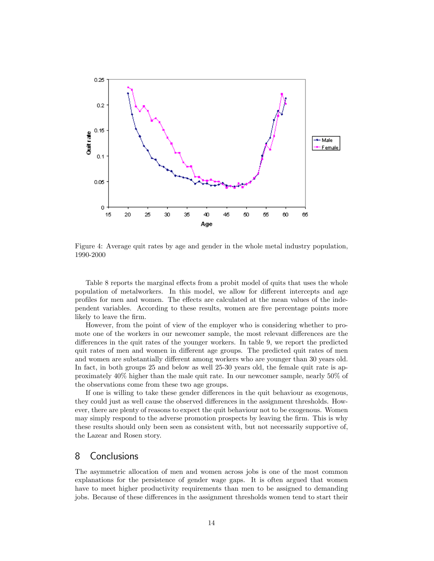

Figure 4: Average quit rates by age and gender in the whole metal industry population, 1990-2000

Table 8 reports the marginal effects from a probit model of quits that uses the whole population of metalworkers. In this model, we allow for different intercepts and age profiles for men and women. The effects are calculated at the mean values of the independent variables. According to these results, women are Öve percentage points more likely to leave the firm.

However, from the point of view of the employer who is considering whether to promote one of the workers in our newcomer sample, the most relevant differences are the differences in the quit rates of the younger workers. In table 9, we report the predicted quit rates of men and women in different age groups. The predicted quit rates of men and women are substantially different among workers who are younger than 30 years old. In fact, in both groups 25 and below as well 25-30 years old, the female quit rate is approximately 40% higher than the male quit rate. In our newcomer sample, nearly 50% of the observations come from these two age groups.

If one is willing to take these gender differences in the quit behaviour as exogenous, they could just as well cause the observed differences in the assignment thresholds. However, there are plenty of reasons to expect the quit behaviour not to be exogenous. Women may simply respond to the adverse promotion prospects by leaving the firm. This is why these results should only been seen as consistent with, but not necessarily supportive of, the Lazear and Rosen story.

### 8 Conclusions

The asymmetric allocation of men and women across jobs is one of the most common explanations for the persistence of gender wage gaps. It is often argued that women have to meet higher productivity requirements than men to be assigned to demanding jobs. Because of these differences in the assignment thresholds women tend to start their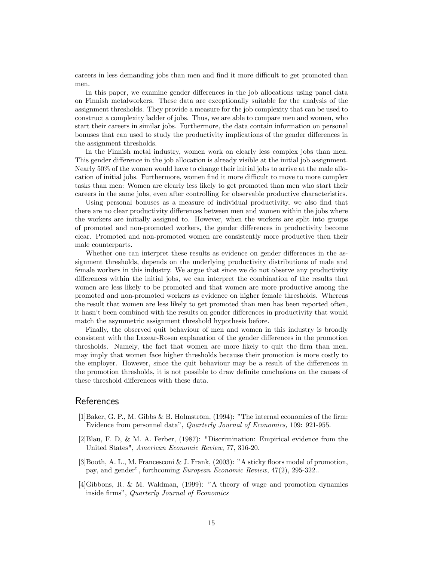careers in less demanding jobs than men and find it more difficult to get promoted than men.

In this paper, we examine gender differences in the job allocations using panel data on Finnish metalworkers. These data are exceptionally suitable for the analysis of the assignment thresholds. They provide a measure for the job complexity that can be used to construct a complexity ladder of jobs. Thus, we are able to compare men and women, who start their careers in similar jobs. Furthermore, the data contain information on personal bonuses that can used to study the productivity implications of the gender differences in the assignment thresholds.

In the Finnish metal industry, women work on clearly less complex jobs than men. This gender difference in the job allocation is already visible at the initial job assignment. Nearly 50% of the women would have to change their initial jobs to arrive at the male allocation of initial jobs. Furthermore, women find it more difficult to move to more complex tasks than men: Women are clearly less likely to get promoted than men who start their careers in the same jobs, even after controlling for observable productive characteristics.

Using personal bonuses as a measure of individual productivity, we also find that there are no clear productivity differences between men and women within the jobs where the workers are initially assigned to. However, when the workers are split into groups of promoted and non-promoted workers, the gender differences in productivity become clear. Promoted and non-promoted women are consistently more productive then their male counterparts.

Whether one can interpret these results as evidence on gender differences in the assignment thresholds, depends on the underlying productivity distributions of male and female workers in this industry. We argue that since we do not observe any productivity differences within the initial jobs, we can interpret the combination of the results that women are less likely to be promoted and that women are more productive among the promoted and non-promoted workers as evidence on higher female thresholds. Whereas the result that women are less likely to get promoted than men has been reported often, it hasn't been combined with the results on gender differences in productivity that would match the asymmetric assignment threshold hypothesis before.

Finally, the observed quit behaviour of men and women in this industry is broadly consistent with the Lazear-Rosen explanation of the gender differences in the promotion thresholds. Namely, the fact that women are more likely to quit the firm than men, may imply that women face higher thresholds because their promotion is more costly to the employer. However, since the quit behaviour may be a result of the differences in the promotion thresholds, it is not possible to draw definite conclusions on the causes of these threshold differences with these data.

### **References**

- $[1]$ Baker, G. P., M. Gibbs & B. Holmström,  $(1994)$ : "The internal economics of the firm: Evidence from personnel dataî, Quarterly Journal of Economics, 109: 921-955.
- [2]Blau, F. D, & M. A. Ferber, (1987): "Discrimination: Empirical evidence from the United States", American Economic Review, 77, 316-20.
- $[3]$ Booth, A. L., M. Francesconi & J. Frank,  $(2003)$ : "A sticky floors model of promotion, pay, and gender", forthcoming European Economic Review, 47(2), 295-322...
- $[4]$ Gibbons, R. & M. Waldman,  $(1999)$ : "A theory of wage and promotion dynamics inside firms", Quarterly Journal of Economics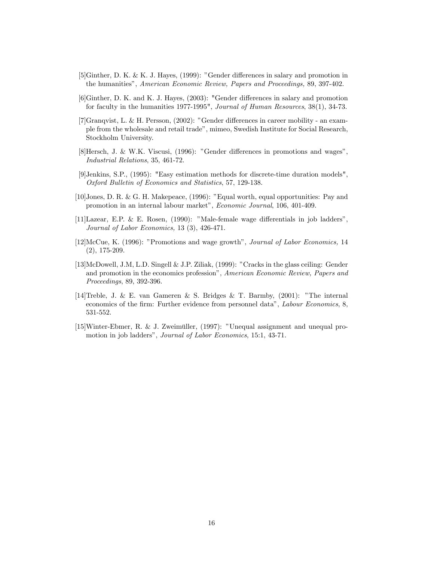- $[5]$ Ginther, D. K. & K. J. Hayes,  $(1999)$ : "Gender differences in salary and promotion in the humanitiesî, American Economic Review, Papers and Proceedings, 89, 397-402.
- $[6]$ Ginther, D. K. and K. J. Hayes,  $(2003)$ : "Gender differences in salary and promotion for faculty in the humanities 1977-1995", Journal of Human Resources, 38(1), 34-73.
- $[7]$ Granqvist, L. & H. Persson,  $(2002)$ : "Gender differences in career mobility an example from the wholesale and retail tradeî, mimeo, Swedish Institute for Social Research, Stockholm University.
- $[8]$ Hersch, J. & W.K. Viscusi,  $(1996)$ : "Gender differences in promotions and wages", Industrial Relations, 35, 461-72.
- [9]Jenkins, S.P., (1995): "Easy estimation methods for discrete-time duration models", Oxford Bulletin of Economics and Statistics, 57, 129-138.
- [10]Jones, D. R. & G. H. Makepeace, (1996): îEqual worth, equal opportunities: Pay and promotion in an internal labour market", Economic Journal, 106, 401-409.
- $[11]$ Lazear, E.P. & E. Rosen,  $(1990)$ : "Male-female wage differentials in job ladders", Journal of Labor Economics, 13 (3), 426-471.
- [12]McCue, K. (1996): "Promotions and wage growth", Journal of Labor Economics, 14 (2), 175-209.
- [13]McDowell, J.M, L.D. Singell & J.P. Ziliak, (1999): "Cracks in the glass ceiling: Gender and promotion in the economics profession", American Economic Review, Papers and Proceedings, 89, 392-396.
- [14] Treble, J. & E. van Gameren & S. Bridges & T. Barmby,  $(2001)$ : "The internal economics of the firm: Further evidence from personnel data", *Labour Economics*, 8, 531-552.
- $[15]$ Winter-Ebmer, R. & J. Zweimüller,  $(1997)$ : "Unequal assignment and unequal promotion in job ladders", Journal of Labor Economics, 15:1, 43-71.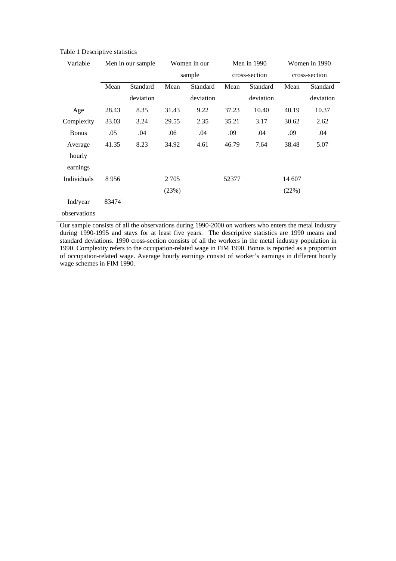| Variable     |       | Men in our sample |         | Women in our | Men in 1990   |           | Women in 1990 |           |
|--------------|-------|-------------------|---------|--------------|---------------|-----------|---------------|-----------|
|              |       |                   | sample  |              | cross-section |           | cross-section |           |
|              | Mean  | Standard          | Mean    | Standard     | Mean          | Standard  | Mean          | Standard  |
|              |       | deviation         |         | deviation    |               | deviation |               | deviation |
| Age          | 28.43 | 8.35              | 31.43   | 9.22         | 37.23         | 10.40     | 40.19         | 10.37     |
| Complexity   | 33.03 | 3.24              | 29.55   | 2.35         | 35.21         | 3.17      | 30.62         | 2.62      |
| <b>Bonus</b> | .05   | .04               | .06     | .04          | .09           | .04       | .09           | .04       |
| Average      | 41.35 | 8.23              | 34.92   | 4.61         | 46.79         | 7.64      | 38.48         | 5.07      |
| hourly       |       |                   |         |              |               |           |               |           |
| earnings     |       |                   |         |              |               |           |               |           |
| Individuals  | 8956  |                   | 2 7 0 5 |              | 52377         |           | 14 607        |           |
|              |       |                   | (23%)   |              |               |           | (22%)         |           |
| Ind/year     | 83474 |                   |         |              |               |           |               |           |
| observations |       |                   |         |              |               |           |               |           |

### Table 1 Descriptive statistics

Our sample consists of all the observations during 1990-2000 on workers who enters the metal industry during 1990-1995 and stays for at least five years. The descriptive statistics are 1990 means and standard deviations. 1990 cross-section consists of all the workers in the metal industry population in 1990. Complexity refers to the occupation-related wage in FIM 1990. Bonus is reported as a proportion of occupation-related wage. Average hourly earnings consist of worker's earnings in different hourly wage schemes in FIM 1990.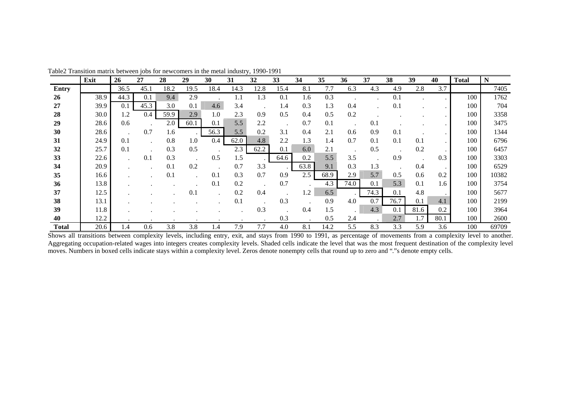|              | Exit | <b>26</b> | 27   | 28   | 29   | 30   | 31   | 32   | 33   | 34         | 35   | 36   | 37   | 38   | 39   | 40   | Total | $\mathbf N$ |
|--------------|------|-----------|------|------|------|------|------|------|------|------------|------|------|------|------|------|------|-------|-------------|
| <b>Entry</b> |      | 36.5      | 45.1 | 18.2 | 19.5 | 18.4 | 14.3 | 12.8 | 15.4 | 8.1        | 7.7  | 6.3  | 4.3  | 4.9  | 2.8  | 3.7  |       | 7405        |
| 26           | 38.9 | 44.3      | 0.1  | 9.4  | 2.9  |      | 1.1  | 1.3  | 0.1  | 1.6        | 0.3  |      |      | 0.1  |      |      | 100   | 1762        |
| 27           | 39.9 | 0.1       | 45.3 | 3.0  | 0.1  | 4.6  | 3.4  |      | 1.4  | 0.3        | 1.3  | 0.4  |      | 0.1  |      |      | 100   | 704         |
| 28           | 30.0 | 1.2       | 0.4  | 59.9 | 2.9  | 1.0  | 2.3  | 0.9  | 0.5  | 0.4        | 0.5  | 0.2  |      |      |      |      | 100   | 3358        |
| 29           | 28.6 | 0.6       |      | 2.0  | 60.1 | 0.1  | 5.5  | 2.2  |      | 0.7        | 0.1  |      | 0.1  |      |      |      | 100   | 3475        |
| 30           | 28.6 |           | 0.7  | 1.6  |      | 56.3 | 5.5  | 0.2  | 3.1  | 0.4        | 2.1  | 0.6  | 0.9  | 0.1  |      |      | 100   | 1344        |
| 31           | 24.9 | 0.1       |      | 0.8  | 1.0  | 0.4  | 62.0 | 4.8  | 2.2  | 1.3        | 1.4  | 0.7  | 0.1  | 0.1  | 0.1  |      | 100   | 6796        |
| 32           | 25.7 | 0.1       |      | 0.3  | 0.5  |      | 2.3  | 62.2 | 0.1  | 6.0        | 2.1  |      | 0.5  |      | 0.2  |      | 100   | 6457        |
| 33           | 22.6 |           | 0.1  | 0.3  |      | 0.5  | 1.5  |      | 64.6 | 0.2        | 5.5  | 3.5  |      | 0.9  |      | 0.3  | 100   | 3303        |
| 34           | 20.9 |           |      | 0.1  | 0.2  |      | 0.7  | 3.3  |      | 63.8       | 9.1  | 0.3  | 1.3  |      | 0.4  |      | 100   | 6529        |
| 35           | 16.6 |           |      | 0.1  |      | 0.1  | 0.3  | 0.7  | 0.9  | 2.5        | 68.9 | 2.9  | 5.7  | 0.5  | 0.6  | 0.2  | 100   | 10382       |
| 36           | 13.8 |           |      |      |      | 0.1  | 0.2  |      | 0.7  |            | 4.3  | 74.0 | 0.1  | 5.3  | 0.1  | 1.6  | 100   | 3754        |
| 37           | 12.5 |           |      |      | 0.   |      | 0.2  | 0.4  |      | $\cdot$ .2 | 6.5  |      | 74.3 | 0.1  | 4.8  |      | 100   | 5677        |
| 38           | 13.1 |           |      |      |      |      | 0.1  |      | 0.3  |            | 0.9  | 4.0  | 0.7  | 76.7 | 0.1  | 4.1  | 100   | 2199        |
| 39           | 11.8 |           |      |      |      |      |      | 0.3  |      | 0.4        | 1.5  |      | 4.3  | 0.1  | 81.6 | 0.2  | 100   | 3964        |
| 40           | 12.2 |           |      |      |      |      |      |      | 0.3  |            | 0.5  | 2.4  |      | 2.7  | 1.7  | 80.1 | 100   | 2600        |
| <b>Total</b> | 20.6 | 1.4       | 0.6  | 3.8  | 3.8  | 1.4  | 7.9  | 7.7  | 4.0  | 8.1        | 14.2 | 5.5  | 8.3  | 3.3  | 5.9  | 3.6  | 100   | 69709       |

Table2 Transition matrix between jobs for newcomers in the metal industry, 1990-1991

Shows all transitions between complexity levels, including entry, exit, and stays from 1990 to 1991, as percentage of movements from a complexity level to another. Aggregating occupation-related wages into integers creates complexity levels. Shaded cells indicate the level that was the most frequent destination of the complexity level moves. Numbers in boxed cells indicate stays within a complexity level. Zeros denote nonempty cells that round up to zero and "."s denote empty cells.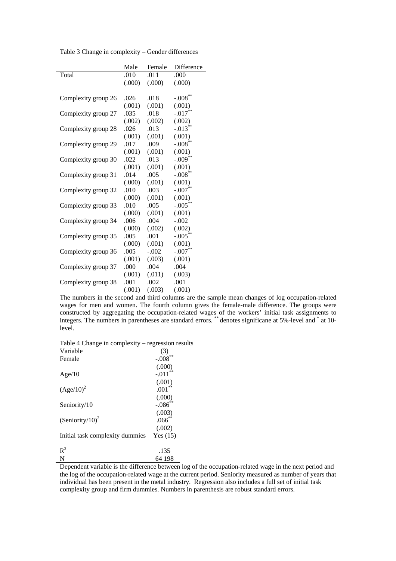|                     | Male   | Female  | Difference            |
|---------------------|--------|---------|-----------------------|
| Total               | .010   | .011    | .000                  |
|                     | (000)  | (000)   | (.000)                |
|                     |        |         |                       |
| Complexity group 26 | .026   | .018    | $-.008$ <sup>**</sup> |
|                     | (.001) | (.001)  | (.001)                |
| Complexity group 27 | .035   | .018    | $-.017$ <sup>**</sup> |
|                     | (.002) | (.002)  | (.002)                |
| Complexity group 28 | .026   | .013    | $-.013**$             |
|                     | (.001) | (.001)  | (.001)                |
| Complexity group 29 | .017   | .009    | $-.008**$             |
|                     | (.001) | (.001)  | (.001)                |
| Complexity group 30 | .022   | .013    | $-.009**$             |
|                     | (.001) | (.001)  | (.001)                |
| Complexity group 31 | .014   | .005    | $-.008**$             |
|                     | (000)  | (.001)  | (.001)                |
| Complexity group 32 | .010   | .003    | $-.007**$             |
|                     | (.000) | (.001)  | (.001)                |
| Complexity group 33 | .010   | .005    | $-.005**$             |
|                     | (000)  | (.001)  | (.001)                |
| Complexity group 34 | .006   | .004    | $-.002$               |
|                     | (.000) | (.002)  | (.002)                |
| Complexity group 35 | .005   | .001    | $-.005***$            |
|                     | (000)  | (.001)  | (.001)                |
| Complexity group 36 | .005   | $-.002$ | $-.007**$             |
|                     | (.001) | (.003)  | (.001)                |
| Complexity group 37 | .000   | .004    | .004                  |
|                     | (.001) | (.011)  | (.003)                |
| Complexity group 38 | .001   | .002    | .001                  |
|                     | (.001) | (.003)  | (.001)                |

Table 3 Change in complexity – Gender differences

The numbers in the second and third columns are the sample mean changes of log occupation-related wages for men and women. The fourth column gives the female-male difference. The groups were constructed by aggregating the occupation-related wages of the workers' initial task assignments to integers. The numbers in parentheses are standard errors. \*\* denotes significane at 5%-level and \* at 10level.

Table 4 Change in complexity – regression results

| Variable                        | (3)        |
|---------------------------------|------------|
| Female                          | $-.008$    |
|                                 | (.000)     |
| Age/10                          | $-.011$    |
|                                 | (.001)     |
| $(Age/10)^2$                    | .001       |
|                                 | (.000)     |
| Seniority/10                    | $-.086$    |
|                                 | (.003)     |
| (Seniority/10) <sup>2</sup>     | $.066^{*}$ |
|                                 | (.002)     |
| Initial task complexity dummies | Yes(15)    |
|                                 |            |
| $R^2$                           | .135       |
| N                               | 64 198     |

Dependent variable is the difference between log of the occupation-related wage in the next period and the log of the occupation-related wage at the current period. Seniority measured as number of years that individual has been present in the metal industry. Regression also includes a full set of initial task complexity group and firm dummies. Numbers in parenthesis are robust standard errors.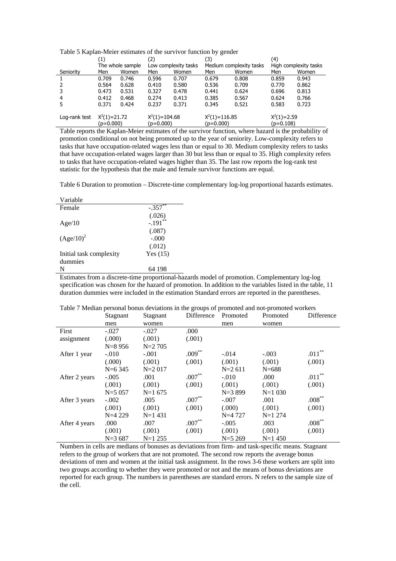|               | (1)                         |                  | (2)                              |                      | (3)                            |                         | (4)                          |                       |
|---------------|-----------------------------|------------------|----------------------------------|----------------------|--------------------------------|-------------------------|------------------------------|-----------------------|
|               |                             | The whole sample |                                  | Low complexity tasks |                                | Medium complexity tasks |                              | High complexity tasks |
| Seniority     | Men                         | Women            | Men                              | Women                | Men                            | Women                   | Men                          | Women                 |
|               | 0.709                       | 0.746            | 0.596                            | 0.707                | 0.679                          | 0.808                   | 0.859                        | 0.943                 |
|               | 0.564                       | 0.628            | 0.410                            | 0.580                | 0.536                          | 0.709                   | 0.770                        | 0.862                 |
|               | 0.473                       | 0.531            | 0.327                            | 0.478                | 0.441                          | 0.624                   | 0.696                        | 0.813                 |
| 4             | 0.412                       | 0.468            | 0.274                            | 0.413                | 0.385                          | 0.567                   | 0.624                        | 0.766                 |
|               | 0.371                       | 0.424            | 0.237                            | 0.371                | 0.345                          | 0.521                   | 0.583                        | 0.723                 |
| Log-rank test | $X^2(1)=21.72$<br>(p=0.000) |                  | $X^2(1) = 104.68$<br>$(p=0.000)$ |                      | $X^2(1)=116.85$<br>$(p=0.000)$ |                         | $X^2(1)=2.59$<br>$(p=0.108)$ |                       |

Table 5 Kaplan-Meier estimates of the survivor function by gender

Table reports the Kaplan-Meier estimates of the survivor function, where hazard is the probability of promotion conditional on not being promoted up to the year of seniority. Low-complexity refers to tasks that have occupation-related wages less than or equal to 30. Medium complexity refers to tasks that have occupation-related wages larger than 30 but less than or equal to 35. High complexity refers to tasks that have occupation-related wages higher than 35. The last row reports the log-rank test statistic for the hypothesis that the male and female survivor functions are equal.

Table 6 Duration to promotion – Discrete-time complementary log-log proportional hazards estimates.

| Variable                |            |
|-------------------------|------------|
| Female                  | $-.357$    |
|                         | (.026)     |
| Age/10                  | $-.191$ ** |
|                         | (.087)     |
| $(Age/10)^2$            | $-.000$    |
|                         | (.012)     |
| Initial task complexity | Yes $(15)$ |
| dummies                 |            |
| N                       | 64 198     |
|                         |            |

Estimates from a discrete-time proportional-hazards model of promotion. Complementary log-log specification was chosen for the hazard of promotion. In addition to the variables listed in the table, 11 duration dummies were included in the estimation Standard errors are reported in the parentheses.

|               | Stagnant   | $\frac{1}{2}$<br>Stagnant | Difference  | Promoted | Promoted  | Difference |
|---------------|------------|---------------------------|-------------|----------|-----------|------------|
|               | men        | women                     |             | men      | women     |            |
| First         | $-.027$    | $-.027$                   | .000        |          |           |            |
| assignment    | (.000)     | (.001)                    | (.001)      |          |           |            |
|               | $N = 8956$ | $N=2$ 705                 |             |          |           |            |
| After 1 year  | $-.010$    | $-.001$                   | $.009***$   | $-.014$  | $-.003$   | $.011***$  |
|               | (.000)     | (.001)                    | (.001)      | (.001)   | (.001)    | (.001)     |
|               | $N=6$ 345  | $N=2017$                  |             | $N=2611$ | $N = 688$ |            |
| After 2 years | $-.005$    | .001                      | $.007^{**}$ | $-.010$  | .000      | $.011***$  |
|               | (.001)     | (.001)                    | (.001)      | (.001)   | (.001)    | (.001)     |
|               | $N = 5057$ | $N=1675$                  |             | $N=3899$ | $N=1030$  |            |
| After 3 years | $-.002$    | .005                      | $.007**$    | $-.007$  | .001      | $.008***$  |
|               | (.001)     | (.001)                    | (.001)      | (.000)   | (.001)    | (.001)     |
|               | $N=4229$   | $N=1$ 431                 |             | $N=4727$ | $N=1$ 274 |            |
| After 4 years | .000       | .007                      | $.007**$    | $-.005$  | .003      | $.008***$  |
|               | (.001)     | (.001)                    | (.001)      | (.001)   | (.001)    | (.001)     |
|               | $N = 3687$ | $N=1$ 255                 |             | $N=5269$ | $N=1$ 450 |            |

Table 7 Median personal bonus deviations in the groups of promoted and not-promoted workers

Numbers in cells are medians of bonuses as deviations from firm- and task-specific means. Stagnant refers to the group of workers that are not promoted. The second row reports the average bonus deviations of men and women at the initial task assignment. In the rows 3-6 these workers are split into two groups according to whether they were promoted or not and the means of bonus deviations are reported for each group. The numbers in parentheses are standard errors. N refers to the sample size of the cell.